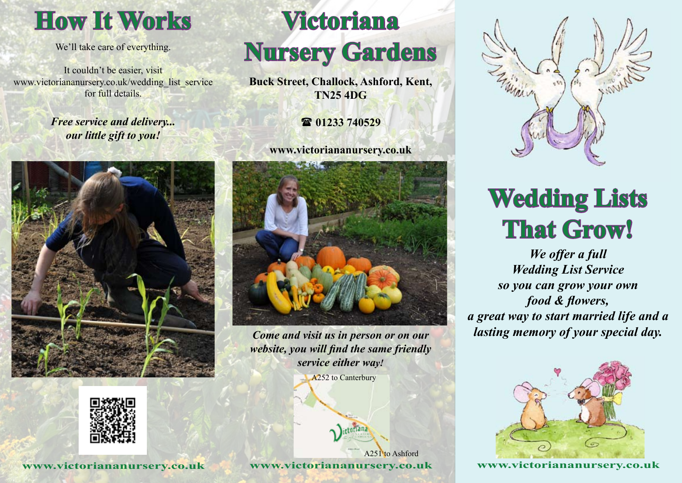

We'll take care of everything.

It couldn't be easier, visit www.victoriananursery.co.uk/wedding\_list\_service for full details.

> *Free service and delivery... our little gift to you!*





**www.victoriananursery.co.uk**

# **Victoriana Nursery Gardens**

**Buck Street, Challock, Ashford, Kent, TN25 4DG**

( **01233 740529**

**www.victoriananursery.co.uk**



*Come and visit us in person or on our website, you will find the same friendly service either way!*

A<sub>252</sub> to Canterbury





# **Wedding Lists That Grow!**

*We offer a full Wedding List Service so you can grow your own food & flowers, a great way to start married life and a lasting memory of your special day.*



**www.victoriananursery.co.uk**